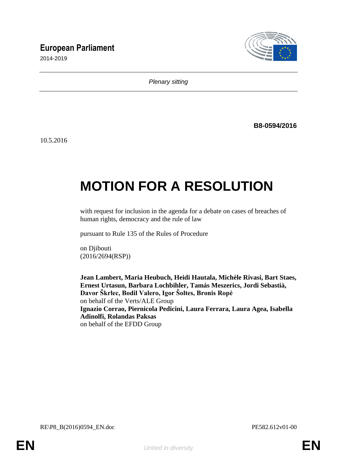# **European Parliament**

2014-2019



*Plenary sitting*

**B8-0594/2016**

10.5.2016

# **MOTION FOR A RESOLUTION**

with request for inclusion in the agenda for a debate on cases of breaches of human rights, democracy and the rule of law

pursuant to Rule 135 of the Rules of Procedure

on Djibouti (2016/2694(RSP))

**Jean Lambert, Maria Heubuch, Heidi Hautala, Michèle Rivasi, Bart Staes, Ernest Urtasun, Barbara Lochbihler, Tamás Meszerics, Jordi Sebastià, Davor Škrlec, Bodil Valero, Igor Šoltes, Bronis Ropė** on behalf of the Verts/ALE Group **Ignazio Corrao, Piernicola Pedicini, Laura Ferrara, Laura Agea, Isabella Adinolfi, Rolandas Paksas** on behalf of the EFDD Group

RE\P8\_B(2016)0594\_EN.doc PE582.612v01-00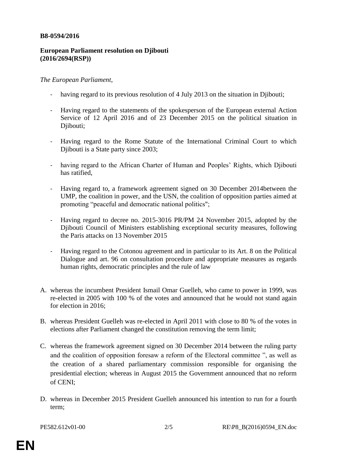#### **B8-0594/2016**

## **European Parliament resolution on Djibouti (2016/2694(RSP))**

## *The European Parliament*,

- having regard to its previous resolution of 4 July 2013 on the situation in Djibouti;
- Having regard to the statements of the spokesperson of the European external Action Service of 12 April 2016 and of 23 December 2015 on the political situation in Djibouti;
- Having regard to the Rome Statute of the International Criminal Court to which Djibouti is a State party since 2003;
- having regard to the African Charter of Human and Peoples' Rights, which Djibouti has ratified,
- Having regard to, a framework agreement signed on 30 December 2014between the UMP, the coalition in power, and the USN, the coalition of opposition parties aimed at promoting "peaceful and democratic national politics";
- Having regard to decree no. 2015-3016 PR/PM 24 November 2015, adopted by the Djibouti Council of Ministers establishing exceptional security measures, following the Paris attacks on 13 November 2015
- Having regard to the Cotonou agreement and in particular to its Art. 8 on the Political Dialogue and art. 96 on consultation procedure and appropriate measures as regards human rights, democratic principles and the rule of law
- A. whereas the incumbent President Ismail Omar Guelleh, who came to power in 1999, was re-elected in 2005 with 100 % of the votes and announced that he would not stand again for election in 2016;
- B. whereas President Guelleh was re-elected in April 2011 with close to 80 % of the votes in elections after Parliament changed the constitution removing the term limit;
- C. whereas the framework agreement signed on 30 December 2014 between the ruling party and the coalition of opposition foresaw a reform of the Electoral committee ", as well as the creation of a shared parliamentary commission responsible for organising the presidential election; whereas in August 2015 the Government announced that no reform of CENI;
- D. whereas in December 2015 President Guelleh announced his intention to run for a fourth term;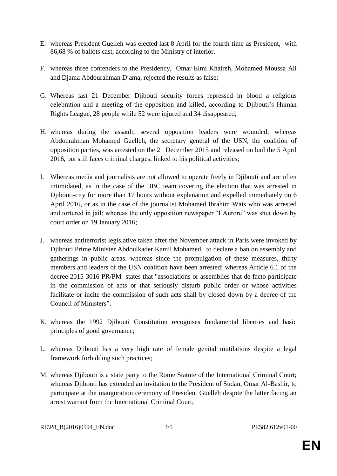- E. whereas President Guelleh was elected last 8 April for the fourth time as President, with 86,68 % of ballots cast, according to the Ministry of interior.
- F. whereas three contenders to the Presidency, Omar Elmi Khaireh, Mohamed Moussa Ali and Djama Abdourahman Djama, rejected the results as false;
- G. Whereas last 21 December Djibouti security forces repressed in blood a religious celebration and a meeting of the opposition and killed, according to Djibouti's Human Rights League, 28 people while 52 were injured and 34 disappeared;
- H. whereas during the assault, several opposition leaders were wounded; whereas Abdourahman Mohamed Guelleh, the secretary general of the USN, the coalition of opposition parties, was arrested on the 21 December 2015 and released on bail the 5 April 2016, but still faces criminal charges, linked to his political activities;
- I. Whereas media and journalists are not allowed to operate freely in Djibouti and are often intimidated, as in the case of the BBC team covering the election that was arrested in Djibouti-city for more than 17 hours without explanation and expelled immediately on 6 April 2016, or as in the case of the journalist Mohamed Ibrahim Wais who was arrested and tortured in jail; whereas the only opposition newspaper "l'Aurore" was shut down by court order on 19 January 2016;
- J. whereas antiterrorist legislative taken after the November attack in Paris were invoked by Djibouti Prime Minister Abdoulkader Kamil Mohamed, to declare a ban on assembly and gatherings in public areas. whereas since the promulgation of these measures, thirty members and leaders of the USN coalition have been arrested; whereas Article 6.1 of the decree 2015-3016 PR/PM states that "associations or assemblies that de facto participate in the commission of acts or that seriously disturb public order or whose activities facilitate or incite the commission of such acts shall by closed down by a decree of the Council of Ministers".
- K. whereas the 1992 Djibouti Constitution recognises fundamental liberties and basic principles of good governance;
- L. whereas Djibouti has a very high rate of female genital mutilations despite a legal framework forbidding such practices;
- M. whereas Djibouti is a state party to the Rome Statute of the International Criminal Court; whereas Djibouti has extended an invitation to the President of Sudan, Omar Al-Bashir, to participate at the inauguration ceremony of President Guelleh despite the latter facing an arrest warrant from the International Criminal Court;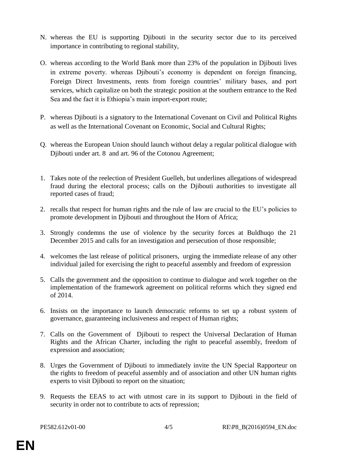- N. whereas the EU is supporting Djibouti in the security sector due to its perceived importance in contributing to regional stability,
- O. whereas according to the World Bank more than 23% of the population in Djibouti lives in extreme poverty. whereas Djibouti's economy is dependent on foreign financing, Foreign Direct Investments, rents from foreign countries' military bases, and port services, which capitalize on both the strategic position at the southern entrance to the Red Sea and the fact it is Ethiopia's main import-export route;
- P. whereas Djibouti is a signatory to the International Covenant on Civil and Political Rights as well as the International Covenant on Economic, Social and Cultural Rights;
- Q. whereas the European Union should launch without delay a regular political dialogue with Djibouti under art. 8 and art. 96 of the Cotonou Agreement;
- 1. Takes note of the reelection of President Guelleh, but underlines allegations of widespread fraud during the electoral process; calls on the Djibouti authorities to investigate all reported cases of fraud;
- 2. recalls that respect for human rights and the rule of law are crucial to the EU's policies to promote development in Djibouti and throughout the Horn of Africa;
- 3. Strongly condemns the use of violence by the security forces at Buldhuqo the 21 December 2015 and calls for an investigation and persecution of those responsible;
- 4. welcomes the last release of political prisoners, urging the immediate release of any other individual jailed for exercising the right to peaceful assembly and freedom of expression
- 5. Calls the government and the opposition to continue to dialogue and work together on the implementation of the framework agreement on political reforms which they signed end of 2014.
- 6. Insists on the importance to launch democratic reforms to set up a robust system of governance, guaranteeing inclusiveness and respect of Human rights;
- 7. Calls on the Government of Djibouti to respect the Universal Declaration of Human Rights and the African Charter, including the right to peaceful assembly, freedom of expression and association;
- 8. Urges the Government of Djibouti to immediately invite the UN Special Rapporteur on the rights to freedom of peaceful assembly and of association and other UN human rights experts to visit Djibouti to report on the situation;
- 9. Requests the EEAS to act with utmost care in its support to Djibouti in the field of security in order not to contribute to acts of repression;